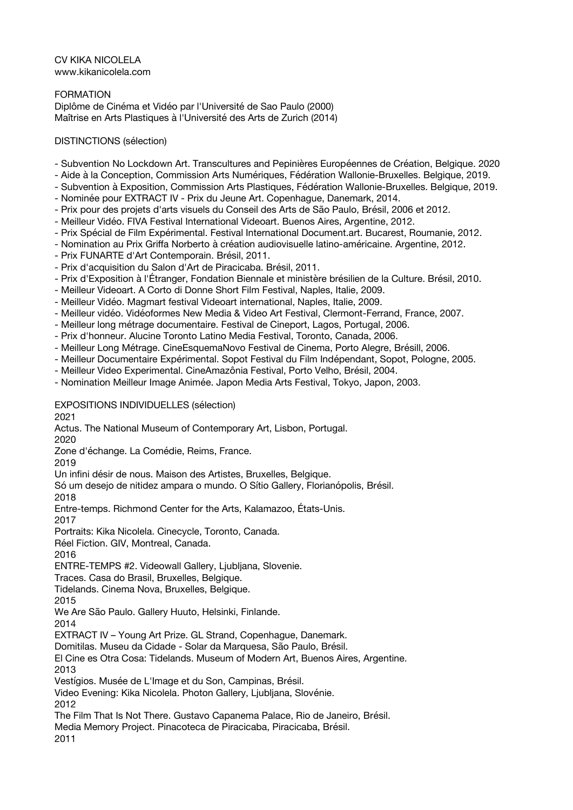CV KIKA NICOLELA www.kikanicolela.com

FORMATION Diplôme de Cinéma et Vidéo par l'Université de Sao Paulo (2000) Maîtrise en Arts Plastiques à l'Université des Arts de Zurich (2014)

## DISTINCTIONS (sélection)

- Subvention No Lockdown Art. Transcultures and Pepinières Européennes de Création, Belgique. 2020
- Aide à la Conception, Commission Arts Numériques, Fédération Wallonie-Bruxelles. Belgique, 2019.
- Subvention à Exposition, Commission Arts Plastiques, Fédération Wallonie-Bruxelles. Belgique, 2019.
- Nominée pour EXTRACT IV Prix du Jeune Art. Copenhague, Danemark, 2014.
- Prix pour des projets d'arts visuels du Conseil des Arts de São Paulo, Brésil, 2006 et 2012.
- Meilleur Vidéo. FIVA Festival International Videoart. Buenos Aires, Argentine, 2012.
- Prix Spécial de Film Expérimental. Festival International Document.art. Bucarest, Roumanie, 2012.
- Nomination au Prix Griffa Norberto à création audiovisuelle latino-américaine. Argentine, 2012.
- Prix FUNARTE d'Art Contemporain. Brésil, 2011.
- Prix d'acquisition du Salon d'Art de Piracicaba. Brésil, 2011.
- Prix d'Exposition à l'Étranger, Fondation Biennale et ministère brésilien de la Culture. Brésil, 2010.
- Meilleur Videoart. A Corto di Donne Short Film Festival, Naples, Italie, 2009.
- Meilleur Vidéo. Magmart festival Videoart international, Naples, Italie, 2009.
- Meilleur vidéo. Vidéoformes New Media & Video Art Festival, Clermont-Ferrand, France, 2007.
- Meilleur long métrage documentaire. Festival de Cineport, Lagos, Portugal, 2006.
- Prix d'honneur. Alucine Toronto Latino Media Festival, Toronto, Canada, 2006.
- Meilleur Long Métrage. CineEsquemaNovo Festival de Cinema, Porto Alegre, Brésill, 2006.
- Meilleur Documentaire Expérimental. Sopot Festival du Film Indépendant, Sopot, Pologne, 2005.
- Meilleur Video Experimental. CineAmazônia Festival, Porto Velho, Brésil, 2004.
- Nomination Meilleur Image Animée. Japon Media Arts Festival, Tokyo, Japon, 2003.

EXPOSITIONS INDIVIDUELLES (sélection) 2021

Actus. The National Museum of Contemporary Art, Lisbon, Portugal.

2020

Zone d'échange. La Comédie, Reims, France.

2019

Un infini désir de nous. Maison des Artistes, Bruxelles, Belgique.

Só um desejo de nitidez ampara o mundo. O Sítio Gallery, Florianópolis, Brésil.

2018

Entre-temps. Richmond Center for the Arts, Kalamazoo, États-Unis.

2017

Portraits: Kika Nicolela. Cinecycle, Toronto, Canada.

Réel Fiction. GIV, Montreal, Canada.

2016

ENTRE-TEMPS #2. Videowall Gallery, Ljubljana, Slovenie.

Traces. Casa do Brasil, Bruxelles, Belgique.

Tidelands. Cinema Nova, Bruxelles, Belgique.

2015

We Are São Paulo. Gallery Huuto, Helsinki, Finlande.

2014

EXTRACT IV – Young Art Prize. GL Strand, Copenhague, Danemark.

Domitilas. Museu da Cidade - Solar da Marquesa, São Paulo, Brésil.

El Cine es Otra Cosa: Tidelands. Museum of Modern Art, Buenos Aires, Argentine. 2013

Vestígios. Musée de L'Image et du Son, Campinas, Brésil.

Video Evening: Kika Nicolela. Photon Gallery, Ljubljana, Slovénie. 2012

The Film That Is Not There. Gustavo Capanema Palace, Rio de Janeiro, Brésil.

Media Memory Project. Pinacoteca de Piracicaba, Piracicaba, Brésil.

2011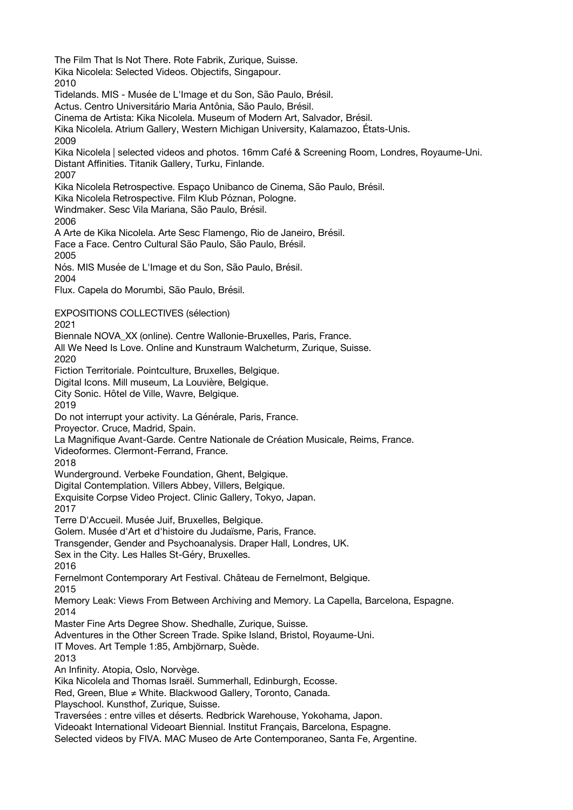The Film That Is Not There. Rote Fabrik, Zurique, Suisse. Kika Nicolela: Selected Videos. Objectifs, Singapour. 2010 Tidelands. MIS - Musée de L'Image et du Son, São Paulo, Brésil. Actus. Centro Universitário Maria Antônia, São Paulo, Brésil. Cinema de Artista: Kika Nicolela. Museum of Modern Art, Salvador, Brésil. Kika Nicolela. Atrium Gallery, Western Michigan University, Kalamazoo, États-Unis. 2009 Kika Nicolela | selected videos and photos. 16mm Café & Screening Room, Londres, Royaume-Uni. Distant Affinities. Titanik Gallery, Turku, Finlande. 2007 Kika Nicolela Retrospective. Espaço Unibanco de Cinema, São Paulo, Brésil. Kika Nicolela Retrospective. Film Klub Póznan, Pologne. Windmaker. Sesc Vila Mariana, São Paulo, Brésil. 2006 A Arte de Kika Nicolela. Arte Sesc Flamengo, Rio de Janeiro, Brésil. Face a Face. Centro Cultural São Paulo, São Paulo, Brésil. 2005 Nós. MIS Musée de L'Image et du Son, São Paulo, Brésil. 2004 Flux. Capela do Morumbi, São Paulo, Brésil. EXPOSITIONS COLLECTIVES (sélection) 2021 Biennale NOVA\_XX (online). Centre Wallonie-Bruxelles, Paris, France. All We Need Is Love. Online and Kunstraum Walcheturm, Zurique, Suisse. 2020 Fiction Territoriale. Pointculture, Bruxelles, Belgique. Digital Icons. Mill museum, La Louvière, Belgique. City Sonic. Hôtel de Ville, Wavre, Belgique. 2019 Do not interrupt your activity. La Générale, Paris, France. Proyector. Cruce, Madrid, Spain. La Magnifique Avant-Garde. Centre Nationale de Création Musicale, Reims, France. Videoformes. Clermont-Ferrand, France. 2018 Wunderground. Verbeke Foundation, Ghent, Belgique. Digital Contemplation. Villers Abbey, Villers, Belgique. Exquisite Corpse Video Project. Clinic Gallery, Tokyo, Japan. 2017 Terre D'Accueil. Musée Juif, Bruxelles, Belgique. Golem. Musée d'Art et d'histoire du Judaïsme, Paris, France. Transgender, Gender and Psychoanalysis. Draper Hall, Londres, UK. Sex in the City. Les Halles St-Géry, Bruxelles. 2016 Fernelmont Contemporary Art Festival. Château de Fernelmont, Belgique. 2015 Memory Leak: Views From Between Archiving and Memory. La Capella, Barcelona, Espagne. 2014 Master Fine Arts Degree Show. Shedhalle, Zurique, Suisse. Adventures in the Other Screen Trade. Spike Island, Bristol, Royaume-Uni. IT Moves. Art Temple 1:85, Ambjörnarp, Suède. 2013 An Infinity. Atopia, Oslo, Norvège. Kika Nicolela and Thomas Israël. Summerhall, Edinburgh, Ecosse. Red, Green, Blue ≠ White. Blackwood Gallery, Toronto, Canada. Playschool. Kunsthof, Zurique, Suisse. Traversées : entre villes et déserts. Redbrick Warehouse, Yokohama, Japon. Videoakt International Videoart Biennial. Institut Français, Barcelona, Espagne. Selected videos by FIVA. MAC Museo de Arte Contemporaneo, Santa Fe, Argentine.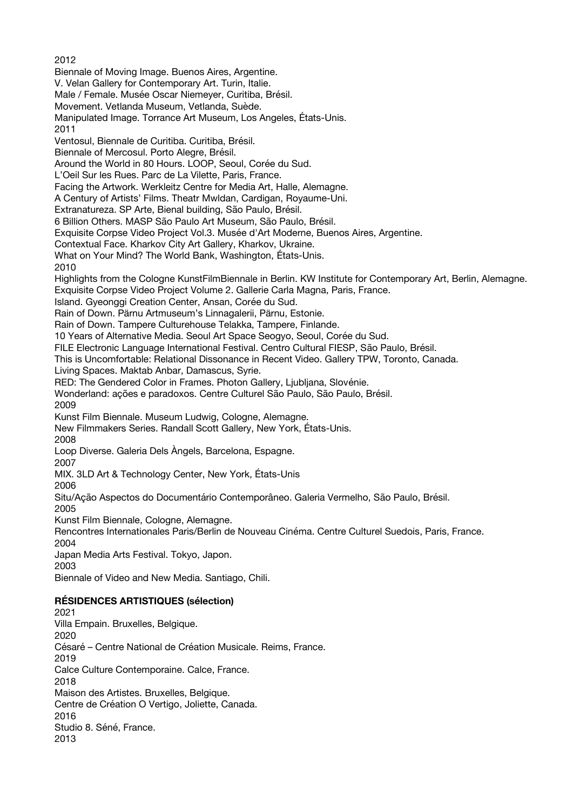2012 Biennale of Moving Image. Buenos Aires, Argentine. V. Velan Gallery for Contemporary Art. Turin, Italie. Male / Female. Musée Oscar Niemeyer, Curitiba, Brésil. Movement. Vetlanda Museum, Vetlanda, Suède. Manipulated Image. Torrance Art Museum, Los Angeles, États-Unis. 2011 Ventosul, Biennale de Curitiba. Curitiba, Brésil. Biennale of Mercosul. Porto Alegre, Brésil. Around the World in 80 Hours. LOOP, Seoul, Corée du Sud. L'Oeil Sur les Rues. Parc de La Vilette, Paris, France. Facing the Artwork. Werkleitz Centre for Media Art, Halle, Alemagne. A Century of Artists' Films. Theatr Mwldan, Cardigan, Royaume-Uni. Extranatureza. SP Arte, Bienal building, São Paulo, Brésil. 6 Billion Others. MASP São Paulo Art Museum, São Paulo, Brésil. Exquisite Corpse Video Project Vol.3. Musée d'Art Moderne, Buenos Aires, Argentine. Contextual Face. Kharkov City Art Gallery, Kharkov, Ukraine. What on Your Mind? The World Bank, Washington, États-Unis. 2010 Highlights from the Cologne KunstFilmBiennale in Berlin. KW Institute for Contemporary Art, Berlin, Alemagne. Exquisite Corpse Video Project Volume 2. Gallerie Carla Magna, Paris, France. Island. Gyeonggi Creation Center, Ansan, Corée du Sud. Rain of Down. Pärnu Artmuseum's Linnagalerii, Pärnu, Estonie. Rain of Down. Tampere Culturehouse Telakka, Tampere, Finlande. 10 Years of Alternative Media. Seoul Art Space Seogyo, Seoul, Corée du Sud. FILE Electronic Language International Festival. Centro Cultural FIESP, São Paulo, Brésil. This is Uncomfortable: Relational Dissonance in Recent Video. Gallery TPW, Toronto, Canada. Living Spaces. Maktab Anbar, Damascus, Syrie. RED: The Gendered Color in Frames. Photon Gallery, Ljubljana, Slovénie. Wonderland: ações e paradoxos. Centre Culturel São Paulo, São Paulo, Brésil. 2009 Kunst Film Biennale. Museum Ludwig, Cologne, Alemagne. New Filmmakers Series. Randall Scott Gallery, New York, États-Unis. 2008 Loop Diverse. Galeria Dels Àngels, Barcelona, Espagne. 2007 MIX. 3LD Art & Technology Center, New York, États-Unis 2006 Situ/Ação Aspectos do Documentário Contemporâneo. Galeria Vermelho, São Paulo, Brésil. 2005 Kunst Film Biennale, Cologne, Alemagne. Rencontres Internationales Paris/Berlin de Nouveau Cinéma. Centre Culturel Suedois, Paris, France. 2004 Japan Media Arts Festival. Tokyo, Japon. 2003 Biennale of Video and New Media. Santiago, Chili. **RÉSIDENCES ARTISTIQUES (sélection)** 2021 Villa Empain. Bruxelles, Belgique. 2020 Césaré – Centre National de Création Musicale. Reims, France. 2019 Calce Culture Contemporaine. Calce, France.

2018

Maison des Artistes. Bruxelles, Belgique.

Centre de Création O Vertigo, Joliette, Canada.

2016

Studio 8. Séné, France. 2013